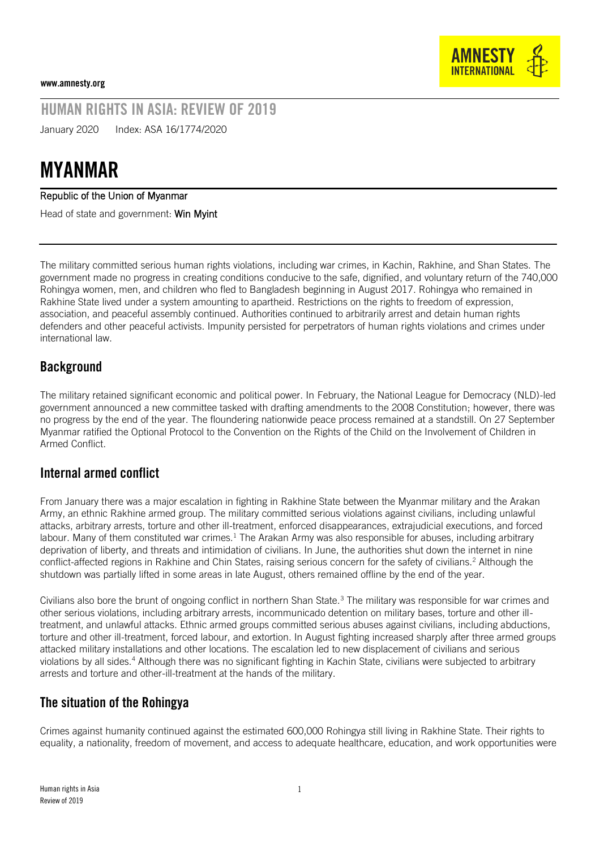

# HUMAN RIGHTS IN ASIA: REVIEW OF 2019

January 2020 Index: ASA 16/1774/2020

# MYANMAR

#### Republic of the Union of Myanmar

Head of state and government: Win Myint

The military committed serious human rights violations, including war crimes, in Kachin, Rakhine, and Shan States. The government made no progress in creating conditions conducive to the safe, dignified, and voluntary return of the 740,000 Rohingya women, men, and children who fled to Bangladesh beginning in August 2017. Rohingya who remained in Rakhine State lived under a system amounting to apartheid. Restrictions on the rights to freedom of expression, association, and peaceful assembly continued. Authorities continued to arbitrarily arrest and detain human rights defenders and other peaceful activists. Impunity persisted for perpetrators of human rights violations and crimes under international law.

## **Background**

The military retained significant economic and political power. In February, the National League for Democracy (NLD)-led government announced a new committee tasked with drafting amendments to the 2008 Constitution; however, there was no progress by the end of the year. The floundering nationwide peace process remained at a standstill. On 27 September Myanmar ratified the Optional Protocol to the Convention on the Rights of the Child on the Involvement of Children in Armed Conflict.

#### Internal armed conflict

From January there was a major escalation in fighting in Rakhine State between the Myanmar military and the Arakan Army, an ethnic Rakhine armed group. The military committed serious violations against civilians, including unlawful attacks, arbitrary arrests, torture and other ill-treatment, enforced disappearances, extrajudicial executions, and forced labour. Many of them constituted war crimes.<sup>1</sup> The Arakan Army was also responsible for abuses, including arbitrary deprivation of liberty, and threats and intimidation of civilians. In June, the authorities shut down the internet in nine conflict-affected regions in Rakhine and Chin States, raising serious concern for the safety of civilians.<sup>2</sup> Although the shutdown was partially lifted in some areas in late August, others remained offline by the end of the year.

Civilians also bore the brunt of ongoing conflict in northern Shan State.<sup>3</sup> The military was responsible for war crimes and other serious violations, including arbitrary arrests, incommunicado detention on military bases, torture and other illtreatment, and unlawful attacks. Ethnic armed groups committed serious abuses against civilians, including abductions, torture and other ill-treatment, forced labour, and extortion. In August fighting increased sharply after three armed groups attacked military installations and other locations. The escalation led to new displacement of civilians and serious violations by all sides.<sup>4</sup> Although there was no significant fighting in Kachin State, civilians were subjected to arbitrary arrests and torture and other-ill-treatment at the hands of the military.

## The situation of the Rohingya

Crimes against humanity continued against the estimated 600,000 Rohingya still living in Rakhine State. Their rights to equality, a nationality, freedom of movement, and access to adequate healthcare, education, and work opportunities were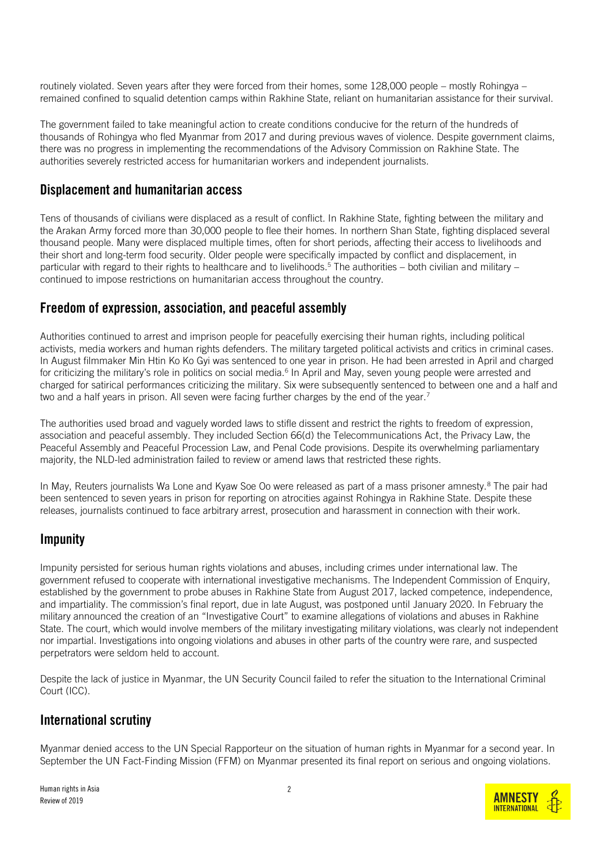routinely violated. Seven years after they were forced from their homes, some 128,000 people – mostly Rohingya – remained confined to squalid detention camps within Rakhine State, reliant on humanitarian assistance for their survival.

The government failed to take meaningful action to create conditions conducive for the return of the hundreds of thousands of Rohingya who fled Myanmar from 2017 and during previous waves of violence. Despite government claims, there was no progress in implementing the recommendations of the Advisory Commission on Rakhine State. The authorities severely restricted access for humanitarian workers and independent journalists.

#### Displacement and humanitarian access

Tens of thousands of civilians were displaced as a result of conflict. In Rakhine State, fighting between the military and the Arakan Army forced more than 30,000 people to flee their homes. In northern Shan State, fighting displaced several thousand people. Many were displaced multiple times, often for short periods, affecting their access to livelihoods and their short and long-term food security. Older people were specifically impacted by conflict and displacement, in particular with regard to their rights to healthcare and to livelihoods.<sup>5</sup> The authorities – both civilian and military – continued to impose restrictions on humanitarian access throughout the country.

## Freedom of expression, association, and peaceful assembly

Authorities continued to arrest and imprison people for peacefully exercising their human rights, including political activists, media workers and human rights defenders. The military targeted political activists and critics in criminal cases. In August filmmaker Min Htin Ko Ko Gyi was sentenced to one year in prison. He had been arrested in April and charged for criticizing the military's role in politics on social media.<sup>6</sup> In April and May, seven young people were arrested and charged for satirical performances criticizing the military. Six were subsequently sentenced to between one and a half and two and a half years in prison. All seven were facing further charges by the end of the year.<sup>7</sup>

The authorities used broad and vaguely worded laws to stifle dissent and restrict the rights to freedom of expression, association and peaceful assembly. They included Section 66(d) the Telecommunications Act, the Privacy Law, the Peaceful Assembly and Peaceful Procession Law, and Penal Code provisions. Despite its overwhelming parliamentary majority, the NLD-led administration failed to review or amend laws that restricted these rights.

In May, Reuters journalists Wa Lone and Kyaw Soe Oo were released as part of a mass prisoner amnesty.<sup>8</sup> The pair had been sentenced to seven years in prison for reporting on atrocities against Rohingya in Rakhine State. Despite these releases, journalists continued to face arbitrary arrest, prosecution and harassment in connection with their work.

## **Impunity**

Impunity persisted for serious human rights violations and abuses, including crimes under international law. The government refused to cooperate with international investigative mechanisms. The Independent Commission of Enquiry, established by the government to probe abuses in Rakhine State from August 2017, lacked competence, independence, and impartiality. The commission's final report, due in late August, was postponed until January 2020. In February the military announced the creation of an "Investigative Court" to examine allegations of violations and abuses in Rakhine State. The court, which would involve members of the military investigating military violations, was clearly not independent nor impartial. Investigations into ongoing violations and abuses in other parts of the country were rare, and suspected perpetrators were seldom held to account.

Despite the lack of justice in Myanmar, the UN Security Council failed to refer the situation to the International Criminal Court (ICC).

## International scrutiny

Myanmar denied access to the UN Special Rapporteur on the situation of human rights in Myanmar for a second year. In September the UN Fact-Finding Mission (FFM) on Myanmar presented its final report on serious and ongoing violations.